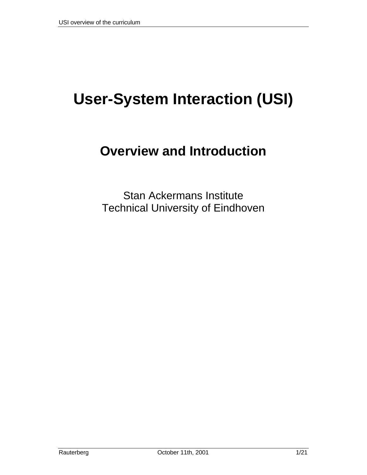# **User-System Interaction (USI)**

# **Overview and Introduction**

Stan Ackermans Institute Technical University of Eindhoven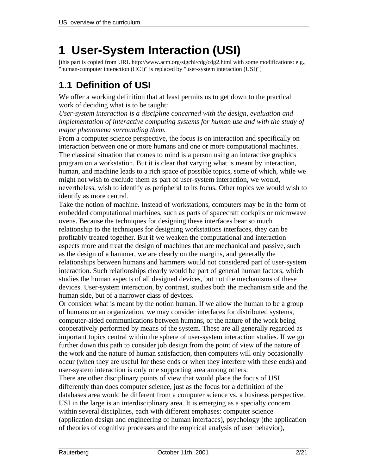# **1 User-System Interaction (USI)**

[this part is copied from URL http://www.acm.org/sigchi/cdg/cdg2.html with some modifications: e.g., "human-computer interaction (HCI)" is replaced by "user-system interaction (USI)"]

# **1.1 Definition of USI**

We offer a working definition that at least permits us to get down to the practical work of deciding what is to be taught:

*User-system interaction is a discipline concerned with the design, evaluation and implementation of interactive computing systems for human use and with the study of major phenomena surrounding them.*

From a computer science perspective, the focus is on interaction and specifically on interaction between one or more humans and one or more computational machines. The classical situation that comes to mind is a person using an interactive graphics program on a workstation. But it is clear that varying what is meant by interaction, human, and machine leads to a rich space of possible topics, some of which, while we might not wish to exclude them as part of user-system interaction, we would, nevertheless, wish to identify as peripheral to its focus. Other topics we would wish to identify as more central.

Take the notion of machine. Instead of workstations, computers may be in the form of embedded computational machines, such as parts of spacecraft cockpits or microwave ovens. Because the techniques for designing these interfaces bear so much relationship to the techniques for designing workstations interfaces, they can be profitably treated together. But if we weaken the computational and interaction aspects more and treat the design of machines that are mechanical and passive, such as the design of a hammer, we are clearly on the margins, and generally the relationships between humans and hammers would not considered part of user-system interaction. Such relationships clearly would be part of general human factors, which studies the human aspects of all designed devices, but not the mechanisms of these devices. User-system interaction, by contrast, studies both the mechanism side and the human side, but of a narrower class of devices.

Or consider what is meant by the notion human. If we allow the human to be a group of humans or an organization, we may consider interfaces for distributed systems, computer-aided communications between humans, or the nature of the work being cooperatively performed by means of the system. These are all generally regarded as important topics central within the sphere of user-system interaction studies. If we go further down this path to consider job design from the point of view of the nature of the work and the nature of human satisfaction, then computers will only occasionally occur (when they are useful for these ends or when they interfere with these ends) and user-system interaction is only one supporting area among others.

There are other disciplinary points of view that would place the focus of USI differently than does computer science, just as the focus for a definition of the databases area would be different from a computer science vs. a business perspective. USI in the large is an interdisciplinary area. It is emerging as a specialty concern within several disciplines, each with different emphases: computer science (application design and engineering of human interfaces), psychology (the application of theories of cognitive processes and the empirical analysis of user behavior),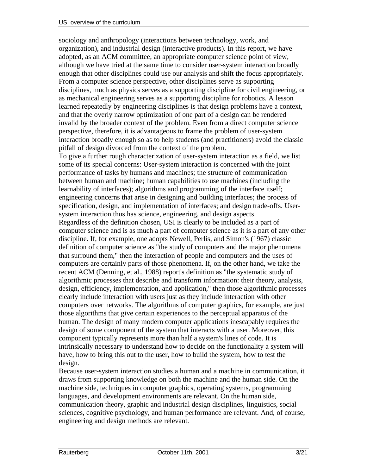sociology and anthropology (interactions between technology, work, and organization), and industrial design (interactive products). In this report, we have adopted, as an ACM committee, an appropriate computer science point of view, although we have tried at the same time to consider user-system interaction broadly enough that other disciplines could use our analysis and shift the focus appropriately. From a computer science perspective, other disciplines serve as supporting disciplines, much as physics serves as a supporting discipline for civil engineering, or as mechanical engineering serves as a supporting discipline for robotics. A lesson learned repeatedly by engineering disciplines is that design problems have a context, and that the overly narrow optimization of one part of a design can be rendered invalid by the broader context of the problem. Even from a direct computer science perspective, therefore, it is advantageous to frame the problem of user-system interaction broadly enough so as to help students (and practitioners) avoid the classic pitfall of design divorced from the context of the problem.

To give a further rough characterization of user-system interaction as a field, we list some of its special concerns: User-system interaction is concerned with the joint performance of tasks by humans and machines; the structure of communication between human and machine; human capabilities to use machines (including the learnability of interfaces); algorithms and programming of the interface itself; engineering concerns that arise in designing and building interfaces; the process of specification, design, and implementation of interfaces; and design trade-offs. Usersystem interaction thus has science, engineering, and design aspects. Regardless of the definition chosen, USI is clearly to be included as a part of computer science and is as much a part of computer science as it is a part of any other discipline. If, for example, one adopts Newell, Perlis, and Simon's (1967) classic definition of computer science as "the study of computers and the major phenomena that surround them," then the interaction of people and computers and the uses of computers are certainly parts of those phenomena. If, on the other hand, we take the recent ACM (Denning, et al., 1988) report's definition as "the systematic study of algorithmic processes that describe and transform information: their theory, analysis, design, efficiency, implementation, and application," then those algorithmic processes clearly include interaction with users just as they include interaction with other computers over networks. The algorithms of computer graphics, for example, are just those algorithms that give certain experiences to the perceptual apparatus of the human. The design of many modern computer applications inescapably requires the design of some component of the system that interacts with a user. Moreover, this component typically represents more than half a system's lines of code. It is intrinsically necessary to understand how to decide on the functionality a system will have, how to bring this out to the user, how to build the system, how to test the design.

Because user-system interaction studies a human and a machine in communication, it draws from supporting knowledge on both the machine and the human side. On the machine side, techniques in computer graphics, operating systems, programming languages, and development environments are relevant. On the human side, communication theory, graphic and industrial design disciplines, linguistics, social sciences, cognitive psychology, and human performance are relevant. And, of course, engineering and design methods are relevant.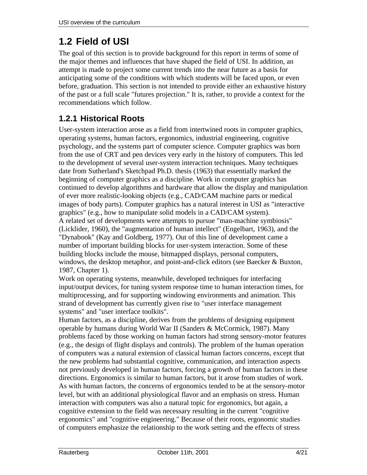# **1.2 Field of USI**

The goal of this section is to provide background for this report in terms of some of the major themes and influences that have shaped the field of USI. In addition, an attempt is made to project some current trends into the near future as a basis for anticipating some of the conditions with which students will be faced upon, or even before, graduation. This section is not intended to provide either an exhaustive history of the past or a full scale "futures projection." It is, rather, to provide a context for the recommendations which follow.

# **1.2.1 Historical Roots**

User-system interaction arose as a field from intertwined roots in computer graphics, operating systems, human factors, ergonomics, industrial engineering, cognitive psychology, and the systems part of computer science. Computer graphics was born from the use of CRT and pen devices very early in the history of computers. This led to the development of several user-system interaction techniques. Many techniques date from Sutherland's Sketchpad Ph.D. thesis (1963) that essentially marked the beginning of computer graphics as a discipline. Work in computer graphics has continued to develop algorithms and hardware that allow the display and manipulation of ever more realistic-looking objects (e.g., CAD/CAM machine parts or medical images of body parts). Computer graphics has a natural interest in USI as "interactive graphics" (e.g., how to manipulate solid models in a CAD/CAM system). A related set of developments were attempts to pursue "man-machine symbiosis" (Licklider, 1960), the "augmentation of human intellect" (Engelbart, 1963), and the "Dynabook" (Kay and Goldberg, 1977). Out of this line of development came a number of important building blocks for user-system interaction. Some of these building blocks include the mouse, bitmapped displays, personal computers, windows, the desktop metaphor, and point-and-click editors (see Baecker & Buxton, 1987, Chapter 1).

Work on operating systems, meanwhile, developed techniques for interfacing input/output devices, for tuning system response time to human interaction times, for multiprocessing, and for supporting windowing environments and animation. This strand of development has currently given rise to "user interface management systems" and "user interface toolkits".

Human factors, as a discipline, derives from the problems of designing equipment operable by humans during World War II (Sanders & McCormick, 1987). Many problems faced by those working on human factors had strong sensory-motor features (e.g., the design of flight displays and controls). The problem of the human operation of computers was a natural extension of classical human factors concerns, except that the new problems had substantial cognitive, communication, and interaction aspects not previously developed in human factors, forcing a growth of human factors in these directions. Ergonomics is similar to human factors, but it arose from studies of work. As with human factors, the concerns of ergonomics tended to be at the sensory-motor level, but with an additional physiological flavor and an emphasis on stress. Human interaction with computers was also a natural topic for ergonomics, but again, a cognitive extension to the field was necessary resulting in the current "cognitive ergonomics" and "cognitive engineering." Because of their roots, ergonomic studies of computers emphasize the relationship to the work setting and the effects of stress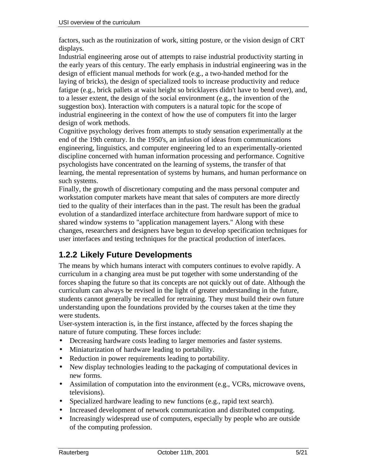factors, such as the routinization of work, sitting posture, or the vision design of CRT displays.

Industrial engineering arose out of attempts to raise industrial productivity starting in the early years of this century. The early emphasis in industrial engineering was in the design of efficient manual methods for work (e.g., a two-handed method for the laying of bricks), the design of specialized tools to increase productivity and reduce fatigue (e.g., brick pallets at waist height so bricklayers didn't have to bend over), and, to a lesser extent, the design of the social environment (e.g., the invention of the suggestion box). Interaction with computers is a natural topic for the scope of industrial engineering in the context of how the use of computers fit into the larger design of work methods.

Cognitive psychology derives from attempts to study sensation experimentally at the end of the 19th century. In the 1950's, an infusion of ideas from communications engineering, linguistics, and computer engineering led to an experimentally-oriented discipline concerned with human information processing and performance. Cognitive psychologists have concentrated on the learning of systems, the transfer of that learning, the mental representation of systems by humans, and human performance on such systems.

Finally, the growth of discretionary computing and the mass personal computer and workstation computer markets have meant that sales of computers are more directly tied to the quality of their interfaces than in the past. The result has been the gradual evolution of a standardized interface architecture from hardware support of mice to shared window systems to "application management layers." Along with these changes, researchers and designers have begun to develop specification techniques for user interfaces and testing techniques for the practical production of interfaces.

# **1.2.2 Likely Future Developments**

The means by which humans interact with computers continues to evolve rapidly. A curriculum in a changing area must be put together with some understanding of the forces shaping the future so that its concepts are not quickly out of date. Although the curriculum can always be revised in the light of greater understanding in the future, students cannot generally be recalled for retraining. They must build their own future understanding upon the foundations provided by the courses taken at the time they were students.

User-system interaction is, in the first instance, affected by the forces shaping the nature of future computing. These forces include:

- Decreasing hardware costs leading to larger memories and faster systems.
- Miniaturization of hardware leading to portability.
- Reduction in power requirements leading to portability.
- New display technologies leading to the packaging of computational devices in new forms.
- Assimilation of computation into the environment (e.g., VCRs, microwave ovens, televisions).
- Specialized hardware leading to new functions (e.g., rapid text search).
- Increased development of network communication and distributed computing.
- Increasingly widespread use of computers, especially by people who are outside of the computing profession.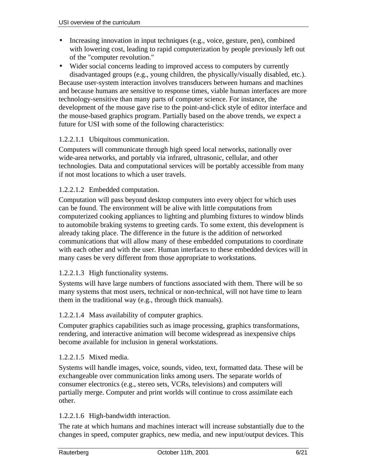- Increasing innovation in input techniques (e.g., voice, gesture, pen), combined with lowering cost, leading to rapid computerization by people previously left out of the "computer revolution."
- Wider social concerns leading to improved access to computers by currently disadvantaged groups (e.g., young children, the physically/visually disabled, etc.). Because user-system interaction involves transducers between humans and machines and because humans are sensitive to response times, viable human interfaces are more technology-sensitive than many parts of computer science. For instance, the development of the mouse gave rise to the point-and-click style of editor interface and the mouse-based graphics program. Partially based on the above trends, we expect a future for USI with some of the following characteristics:

#### 1.2.2.1.1 Ubiquitous communication.

Computers will communicate through high speed local networks, nationally over wide-area networks, and portably via infrared, ultrasonic, cellular, and other technologies. Data and computational services will be portably accessible from many if not most locations to which a user travels.

#### 1.2.2.1.2 Embedded computation.

Computation will pass beyond desktop computers into every object for which uses can be found. The environment will be alive with little computations from computerized cooking appliances to lighting and plumbing fixtures to window blinds to automobile braking systems to greeting cards. To some extent, this development is already taking place. The difference in the future is the addition of networked communications that will allow many of these embedded computations to coordinate with each other and with the user. Human interfaces to these embedded devices will in many cases be very different from those appropriate to workstations.

#### 1.2.2.1.3 High functionality systems.

Systems will have large numbers of functions associated with them. There will be so many systems that most users, technical or non-technical, will not have time to learn them in the traditional way (e.g., through thick manuals).

#### 1.2.2.1.4 Mass availability of computer graphics.

Computer graphics capabilities such as image processing, graphics transformations, rendering, and interactive animation will become widespread as inexpensive chips become available for inclusion in general workstations.

#### 1.2.2.1.5 Mixed media.

Systems will handle images, voice, sounds, video, text, formatted data. These will be exchangeable over communication links among users. The separate worlds of consumer electronics (e.g., stereo sets, VCRs, televisions) and computers will partially merge. Computer and print worlds will continue to cross assimilate each other.

#### 1.2.2.1.6 High-bandwidth interaction.

The rate at which humans and machines interact will increase substantially due to the changes in speed, computer graphics, new media, and new input/output devices. This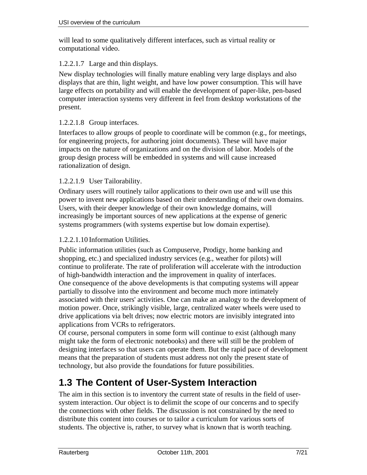will lead to some qualitatively different interfaces, such as virtual reality or computational video.

#### 1.2.2.1.7 Large and thin displays.

New display technologies will finally mature enabling very large displays and also displays that are thin, light weight, and have low power consumption. This will have large effects on portability and will enable the development of paper-like, pen-based computer interaction systems very different in feel from desktop workstations of the present.

#### 1.2.2.1.8 Group interfaces.

Interfaces to allow groups of people to coordinate will be common (e.g., for meetings, for engineering projects, for authoring joint documents). These will have major impacts on the nature of organizations and on the division of labor. Models of the group design process will be embedded in systems and will cause increased rationalization of design.

#### 1.2.2.1.9 User Tailorability.

Ordinary users will routinely tailor applications to their own use and will use this power to invent new applications based on their understanding of their own domains. Users, with their deeper knowledge of their own knowledge domains, will increasingly be important sources of new applications at the expense of generic systems programmers (with systems expertise but low domain expertise).

#### 1.2.2.1.10 Information Utilities.

Public information utilities (such as Compuserve, Prodigy, home banking and shopping, etc.) and specialized industry services (e.g., weather for pilots) will continue to proliferate. The rate of proliferation will accelerate with the introduction of high-bandwidth interaction and the improvement in quality of interfaces. One consequence of the above developments is that computing systems will appear partially to dissolve into the environment and become much more intimately associated with their users' activities. One can make an analogy to the development of motion power. Once, strikingly visible, large, centralized water wheels were used to drive applications via belt drives; now electric motors are invisibly integrated into applications from VCRs to refrigerators.

Of course, personal computers in some form will continue to exist (although many might take the form of electronic notebooks) and there will still be the problem of designing interfaces so that users can operate them. But the rapid pace of development means that the preparation of students must address not only the present state of technology, but also provide the foundations for future possibilities.

# **1.3 The Content of User-System Interaction**

The aim in this section is to inventory the current state of results in the field of usersystem interaction. Our object is to delimit the scope of our concerns and to specify the connections with other fields. The discussion is not constrained by the need to distribute this content into courses or to tailor a curriculum for various sorts of students. The objective is, rather, to survey what is known that is worth teaching.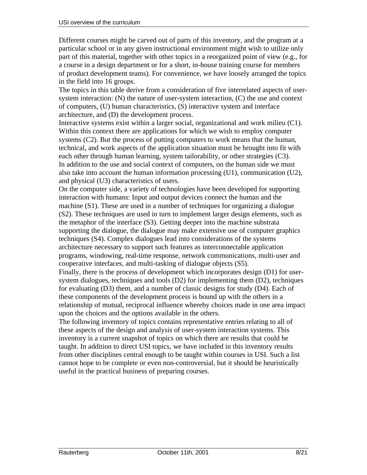Different courses might be carved out of parts of this inventory, and the program at a particular school or in any given instructional environment might wish to utilize only part of this material, together with other topics in a reorganized point of view (e.g., for a course in a design department or for a short, in-house training course for members of product development teams). For convenience, we have loosely arranged the topics in the field into 16 groups.

The topics in this table derive from a consideration of five interrelated aspects of usersystem interaction: (N) the nature of user-system interaction, (C) the use and context of computers, (U) human characteristics, (S) interactive system and interface architecture, and (D) the development process.

Interactive systems exist within a larger social, organizational and work milieu (C1). Within this context there are applications for which we wish to employ computer systems (C2). But the process of putting computers to work means that the human, technical, and work aspects of the application situation must be brought into fit with each other through human learning, system tailorability, or other strategies (C3). In addition to the use and social context of computers, on the human side we must also take into account the human information processing (U1), communication (U2), and physical (U3) characteristics of users.

On the computer side, a variety of technologies have been developed for supporting interaction with humans: Input and output devices connect the human and the machine (S1). These are used in a number of techniques for organizing a dialogue (S2). These techniques are used in turn to implement larger design elements, such as the metaphor of the interface (S3). Getting deeper into the machine substrata supporting the dialogue, the dialogue may make extensive use of computer graphics techniques (S4). Complex dialogues lead into considerations of the systems architecture necessary to support such features as interconnectable application programs, windowing, real-time response, network communications, multi-user and cooperative interfaces, and multi-tasking of dialogue objects (S5).

Finally, there is the process of development which incorporates design (D1) for usersystem dialogues, techniques and tools (D2) for implementing them (D2), techniques for evaluating (D3) them, and a number of classic designs for study (D4). Each of these components of the development process is bound up with the others in a relationship of mutual, reciprocal influence whereby choices made in one area impact upon the choices and the options available in the others.

The following inventory of topics contains representative entries relating to all of these aspects of the design and analysis of user-system interaction systems. This inventory is a current snapshot of topics on which there are results that could be taught. In addition to direct USI topics, we have included in this inventory results from other disciplines central enough to be taught within courses in USI. Such a list cannot hope to be complete or even non-controversial, but it should be heuristically useful in the practical business of preparing courses.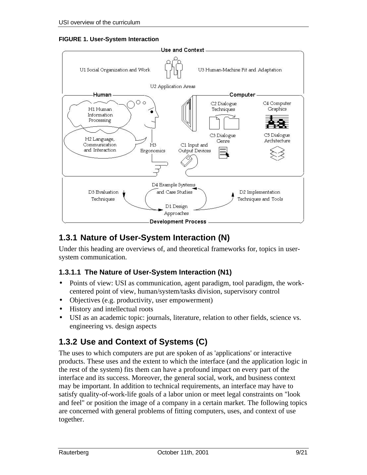



# **1.3.1 Nature of User-System Interaction (N)**

Under this heading are overviews of, and theoretical frameworks for, topics in usersystem communication.

## **1.3.1.1 The Nature of User-System Interaction (N1)**

- Points of view: USI as communication, agent paradigm, tool paradigm, the workcentered point of view, human/system/tasks division, supervisory control
- Objectives (e.g. productivity, user empowerment)
- History and intellectual roots
- USI as an academic topic: journals, literature, relation to other fields, science vs. engineering vs. design aspects

# **1.3.2 Use and Context of Systems (C)**

The uses to which computers are put are spoken of as 'applications' or interactive products. These uses and the extent to which the interface (and the application logic in the rest of the system) fits them can have a profound impact on every part of the interface and its success. Moreover, the general social, work, and business context may be important. In addition to technical requirements, an interface may have to satisfy quality-of-work-life goals of a labor union or meet legal constraints on "look and feel" or position the image of a company in a certain market. The following topics are concerned with general problems of fitting computers, uses, and context of use together.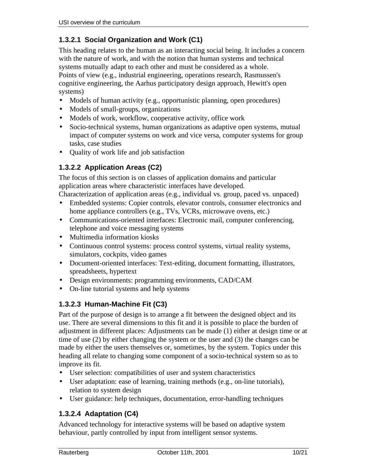# **1.3.2.1 Social Organization and Work (C1)**

This heading relates to the human as an interacting social being. It includes a concern with the nature of work, and with the notion that human systems and technical systems mutually adapt to each other and must be considered as a whole. Points of view (e.g., industrial engineering, operations research, Rasmussen's cognitive engineering, the Aarhus participatory design approach, Hewitt's open systems)

- Models of human activity (e.g., opportunistic planning, open procedures)
- Models of small-groups, organizations
- Models of work, workflow, cooperative activity, office work
- Socio-technical systems, human organizations as adaptive open systems, mutual impact of computer systems on work and vice versa, computer systems for group tasks, case studies
- Quality of work life and job satisfaction

## **1.3.2.2 Application Areas (C2)**

The focus of this section is on classes of application domains and particular application areas where characteristic interfaces have developed.

Characterization of application areas (e.g., individual vs. group, paced vs. unpaced)

- Embedded systems: Copier controls, elevator controls, consumer electronics and home appliance controllers (e.g., TVs, VCRs, microwave ovens, etc.)
- Communications-oriented interfaces: Electronic mail, computer conferencing, telephone and voice messaging systems
- Multimedia information kiosks
- Continuous control systems: process control systems, virtual reality systems, simulators, cockpits, video games
- Document-oriented interfaces: Text-editing, document formatting, illustrators, spreadsheets, hypertext
- Design environments: programming environments, CAD/CAM
- On-line tutorial systems and help systems

## **1.3.2.3 Human-Machine Fit (C3)**

Part of the purpose of design is to arrange a fit between the designed object and its use. There are several dimensions to this fit and it is possible to place the burden of adjustment in different places: Adjustments can be made (1) either at design time or at time of use (2) by either changing the system or the user and (3) the changes can be made by either the users themselves or, sometimes, by the system. Topics under this heading all relate to changing some component of a socio-technical system so as to improve its fit.

- User selection: compatibilities of user and system characteristics
- User adaptation: ease of learning, training methods (e.g., on-line tutorials), relation to system design
- User guidance: help techniques, documentation, error-handling techniques

# **1.3.2.4 Adaptation (C4)**

Advanced technology for interactive systems will be based on adaptive system behaviour, partly controlled by input from intelligent sensor systems.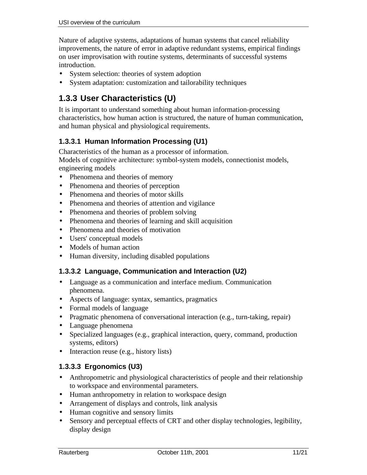Nature of adaptive systems, adaptations of human systems that cancel reliability improvements, the nature of error in adaptive redundant systems, empirical findings on user improvisation with routine systems, determinants of successful systems introduction.

- System selection: theories of system adoption
- System adaptation: customization and tailorability techniques

# **1.3.3 User Characteristics (U)**

It is important to understand something about human information-processing characteristics, how human action is structured, the nature of human communication, and human physical and physiological requirements.

## **1.3.3.1 Human Information Processing (U1)**

Characteristics of the human as a processor of information. Models of cognitive architecture: symbol-system models, connectionist models, engineering models

- Phenomena and theories of memory
- Phenomena and theories of perception
- Phenomena and theories of motor skills
- Phenomena and theories of attention and vigilance
- Phenomena and theories of problem solving
- Phenomena and theories of learning and skill acquisition
- Phenomena and theories of motivation
- Users' conceptual models
- Models of human action
- Human diversity, including disabled populations

# **1.3.3.2 Language, Communication and Interaction (U2)**

- Language as a communication and interface medium. Communication phenomena.
- Aspects of language: syntax, semantics, pragmatics
- Formal models of language
- Pragmatic phenomena of conversational interaction (e.g., turn-taking, repair)
- Language phenomena
- Specialized languages (e.g., graphical interaction, query, command, production systems, editors)
- Interaction reuse (e.g., history lists)

# **1.3.3.3 Ergonomics (U3)**

- Anthropometric and physiological characteristics of people and their relationship to workspace and environmental parameters.
- Human anthropometry in relation to workspace design
- Arrangement of displays and controls, link analysis
- Human cognitive and sensory limits
- Sensory and perceptual effects of CRT and other display technologies, legibility, display design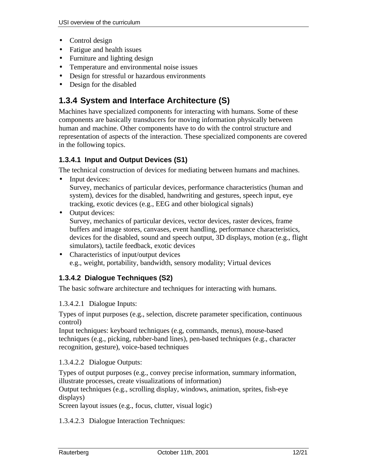- Control design
- Fatigue and health issues
- Furniture and lighting design
- Temperature and environmental noise issues
- Design for stressful or hazardous environments
- Design for the disabled

# **1.3.4 System and Interface Architecture (S)**

Machines have specialized components for interacting with humans. Some of these components are basically transducers for moving information physically between human and machine. Other components have to do with the control structure and representation of aspects of the interaction. These specialized components are covered in the following topics.

## **1.3.4.1 Input and Output Devices (S1)**

The technical construction of devices for mediating between humans and machines.

• Input devices:

Survey, mechanics of particular devices, performance characteristics (human and system), devices for the disabled, handwriting and gestures, speech input, eye tracking, exotic devices (e.g., EEG and other biological signals)

• Output devices:

Survey, mechanics of particular devices, vector devices, raster devices, frame buffers and image stores, canvases, event handling, performance characteristics, devices for the disabled, sound and speech output, 3D displays, motion (e.g., flight simulators), tactile feedback, exotic devices

• Characteristics of input/output devices e.g., weight, portability, bandwidth, sensory modality; Virtual devices

## **1.3.4.2 Dialogue Techniques (S2)**

The basic software architecture and techniques for interacting with humans.

#### 1.3.4.2.1 Dialogue Inputs:

Types of input purposes (e.g., selection, discrete parameter specification, continuous control)

Input techniques: keyboard techniques (e.g, commands, menus), mouse-based techniques (e.g., picking, rubber-band lines), pen-based techniques (e.g., character recognition, gesture), voice-based techniques

#### 1.3.4.2.2 Dialogue Outputs:

Types of output purposes (e.g., convey precise information, summary information, illustrate processes, create visualizations of information)

Output techniques (e.g., scrolling display, windows, animation, sprites, fish-eye displays)

Screen layout issues (e.g., focus, clutter, visual logic)

1.3.4.2.3 Dialogue Interaction Techniques: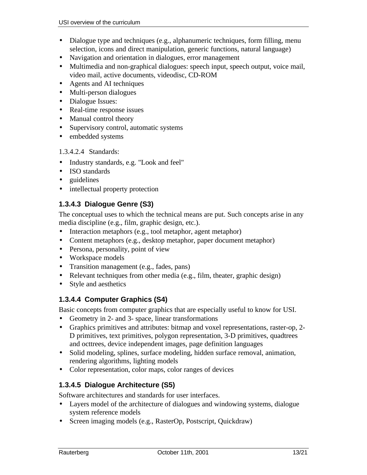- Dialogue type and techniques (e.g., alphanumeric techniques, form filling, menu selection, icons and direct manipulation, generic functions, natural language)
- Navigation and orientation in dialogues, error management
- Multimedia and non-graphical dialogues: speech input, speech output, voice mail, video mail, active documents, videodisc, CD-ROM
- Agents and AI techniques
- Multi-person dialogues
- Dialogue Issues:
- Real-time response issues
- Manual control theory
- Supervisory control, automatic systems
- embedded systems

#### 1.3.4.2.4 Standards:

- Industry standards, e.g. "Look and feel"
- ISO standards
- guidelines
- intellectual property protection

## **1.3.4.3 Dialogue Genre (S3)**

The conceptual uses to which the technical means are put. Such concepts arise in any media discipline (e.g., film, graphic design, etc.).

- Interaction metaphors (e.g., tool metaphor, agent metaphor)
- Content metaphors (e.g., desktop metaphor, paper document metaphor)
- Persona, personality, point of view
- Workspace models
- Transition management (e.g., fades, pans)
- Relevant techniques from other media (e.g., film, theater, graphic design)
- Style and aesthetics

## **1.3.4.4 Computer Graphics (S4)**

Basic concepts from computer graphics that are especially useful to know for USI.

- Geometry in 2- and 3- space, linear transformations
- Graphics primitives and attributes: bitmap and voxel representations, raster-op, 2- D primitives, text primitives, polygon representation, 3-D primitives, quadtrees and octtrees, device independent images, page definition languages
- Solid modeling, splines, surface modeling, hidden surface removal, animation, rendering algorithms, lighting models
- Color representation, color maps, color ranges of devices

## **1.3.4.5 Dialogue Architecture (S5)**

Software architectures and standards for user interfaces.

- Layers model of the architecture of dialogues and windowing systems, dialogue system reference models
- Screen imaging models (e.g., RasterOp, Postscript, Quickdraw)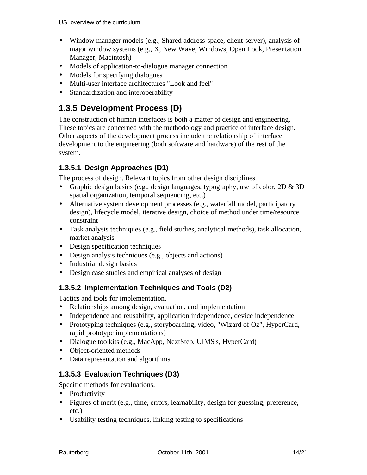- Window manager models (e.g., Shared address-space, client-server), analysis of major window systems (e.g., X, New Wave, Windows, Open Look, Presentation Manager, Macintosh)
- Models of application-to-dialogue manager connection
- Models for specifying dialogues
- Multi-user interface architectures "Look and feel"
- Standardization and interoperability

# **1.3.5 Development Process (D)**

The construction of human interfaces is both a matter of design and engineering. These topics are concerned with the methodology and practice of interface design. Other aspects of the development process include the relationship of interface development to the engineering (both software and hardware) of the rest of the system.

### **1.3.5.1 Design Approaches (D1)**

The process of design. Relevant topics from other design disciplines.

- Graphic design basics (e.g., design languages, typography, use of color, 2D & 3D spatial organization, temporal sequencing, etc.)
- Alternative system development processes (e.g., waterfall model, participatory design), lifecycle model, iterative design, choice of method under time/resource constraint
- Task analysis techniques (e.g., field studies, analytical methods), task allocation, market analysis
- Design specification techniques
- Design analysis techniques (e.g., objects and actions)
- Industrial design basics
- Design case studies and empirical analyses of design

### **1.3.5.2 Implementation Techniques and Tools (D2)**

Tactics and tools for implementation.

- Relationships among design, evaluation, and implementation
- Independence and reusability, application independence, device independence
- Prototyping techniques (e.g., storyboarding, video, "Wizard of Oz", HyperCard, rapid prototype implementations)
- Dialogue toolkits (e.g., MacApp, NextStep, UIMS's, HyperCard)
- Object-oriented methods
- Data representation and algorithms

### **1.3.5.3 Evaluation Techniques (D3)**

Specific methods for evaluations.

- Productivity
- Figures of merit (e.g., time, errors, learnability, design for guessing, preference, etc.)
- Usability testing techniques, linking testing to specifications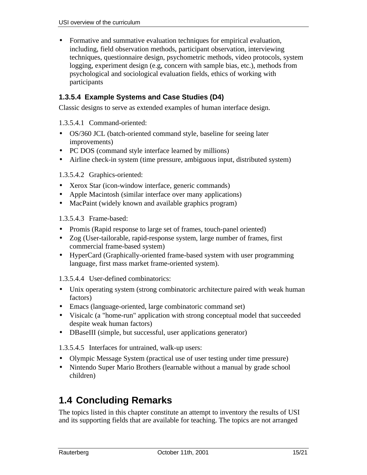• Formative and summative evaluation techniques for empirical evaluation, including, field observation methods, participant observation, interviewing techniques, questionnaire design, psychometric methods, video protocols, system logging, experiment design (e.g, concern with sample bias, etc.), methods from psychological and sociological evaluation fields, ethics of working with participants

### **1.3.5.4 Example Systems and Case Studies (D4)**

Classic designs to serve as extended examples of human interface design.

1.3.5.4.1 Command-oriented:

- OS/360 JCL (batch-oriented command style, baseline for seeing later improvements)
- PC DOS (command style interface learned by millions)
- Airline check-in system (time pressure, ambiguous input, distributed system)

#### 1.3.5.4.2 Graphics-oriented:

- Xerox Star (icon-window interface, generic commands)
- Apple Macintosh (similar interface over many applications)
- MacPaint (widely known and available graphics program)

1.3.5.4.3 Frame-based:

- Promis (Rapid response to large set of frames, touch-panel oriented)
- Zog (User-tailorable, rapid-response system, large number of frames, first commercial frame-based system)
- HyperCard (Graphically-oriented frame-based system with user programming language, first mass market frame-oriented system).

1.3.5.4.4 User-defined combinatorics:

- Unix operating system (strong combinatoric architecture paired with weak human factors)
- Emacs (language-oriented, large combinatoric command set)
- Visicalc (a "home-run" application with strong conceptual model that succeeded despite weak human factors)
- DBaseIII (simple, but successful, user applications generator)

1.3.5.4.5 Interfaces for untrained, walk-up users:

- Olympic Message System (practical use of user testing under time pressure)
- Nintendo Super Mario Brothers (learnable without a manual by grade school children)

# **1.4 Concluding Remarks**

The topics listed in this chapter constitute an attempt to inventory the results of USI and its supporting fields that are available for teaching. The topics are not arranged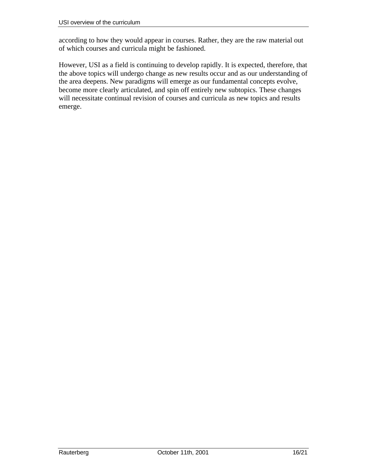according to how they would appear in courses. Rather, they are the raw material out of which courses and curricula might be fashioned.

However, USI as a field is continuing to develop rapidly. It is expected, therefore, that the above topics will undergo change as new results occur and as our understanding of the area deepens. New paradigms will emerge as our fundamental concepts evolve, become more clearly articulated, and spin off entirely new subtopics. These changes will necessitate continual revision of courses and curricula as new topics and results emerge.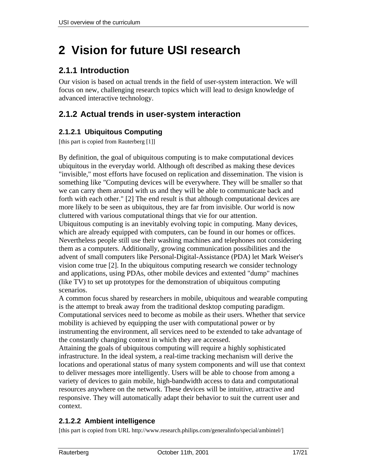# **2 Vision for future USI research**

# **2.1.1 Introduction**

Our vision is based on actual trends in the field of user-system interaction. We will focus on new, challenging research topics which will lead to design knowledge of advanced interactive technology.

# **2.1.2 Actual trends in user-system interaction**

# **2.1.2.1 Ubiquitous Computing**

[this part is copied from Rauterberg [1]]

By definition, the goal of ubiquitous computing is to make computational devices ubiquitous in the everyday world. Although oft described as making these devices "invisible," most efforts have focused on replication and dissemination. The vision is something like "Computing devices will be everywhere. They will be smaller so that we can carry them around with us and they will be able to communicate back and forth with each other." [2] The end result is that although computational devices are more likely to be seen as ubiquitous, they are far from invisible. Our world is now cluttered with various computational things that vie for our attention.

Ubiquitous computing is an inevitably evolving topic in computing. Many devices, which are already equipped with computers, can be found in our homes or offices. Nevertheless people still use their washing machines and telephones not considering them as a computers. Additionally, growing communication possibilities and the advent of small computers like Personal-Digital-Assistance (PDA) let Mark Weiser's vision come true [2]. In the ubiquitous computing research we consider technology and applications, using PDAs, other mobile devices and extented "dump" machines (like TV) to set up prototypes for the demonstration of ubiquitous computing scenarios.

A common focus shared by researchers in mobile, ubiquitous and wearable computing is the attempt to break away from the traditional desktop computing paradigm. Computational services need to become as mobile as their users. Whether that service mobility is achieved by equipping the user with computational power or by instrumenting the environment, all services need to be extended to take advantage of the constantly changing context in which they are accessed.

Attaining the goals of ubiquitous computing will require a highly sophisticated infrastructure. In the ideal system, a real-time tracking mechanism will derive the locations and operational status of many system components and will use that context to deliver messages more intelligently. Users will be able to choose from among a variety of devices to gain mobile, high-bandwidth access to data and computational resources anywhere on the network. These devices will be intuitive, attractive and responsive. They will automatically adapt their behavior to suit the current user and context.

# **2.1.2.2 Ambient intelligence**

[this part is copied from URL http://www.research.philips.com/generalinfo/special/ambintel/]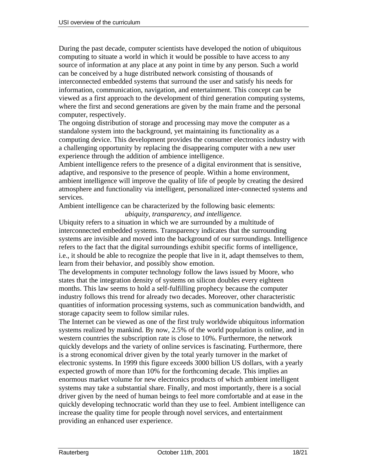During the past decade, computer scientists have developed the notion of ubiquitous computing to situate a world in which it would be possible to have access to any source of information at any place at any point in time by any person. Such a world can be conceived by a huge distributed network consisting of thousands of interconnected embedded systems that surround the user and satisfy his needs for information, communication, navigation, and entertainment. This concept can be viewed as a first approach to the development of third generation computing systems, where the first and second generations are given by the main frame and the personal computer, respectively.

The ongoing distribution of storage and processing may move the computer as a standalone system into the background, yet maintaining its functionality as a computing device. This development provides the consumer electronics industry with a challenging opportunity by replacing the disappearing computer with a new user experience through the addition of ambience intelligence.

Ambient intelligence refers to the presence of a digital environment that is sensitive, adaptive, and responsive to the presence of people. Within a home environment, ambient intelligence will improve the quality of life of people by creating the desired atmosphere and functionality via intelligent, personalized inter-connected systems and services.

#### Ambient intelligence can be characterized by the following basic elements: *ubiquity, transparency, and intelligence.*

Ubiquity refers to a situation in which we are surrounded by a multitude of interconnected embedded systems. Transparency indicates that the surrounding systems are invisible and moved into the background of our surroundings. Intelligence refers to the fact that the digital surroundings exhibit specific forms of intelligence, i.e., it should be able to recognize the people that live in it, adapt themselves to them, learn from their behavior, and possibly show emotion.

The developments in computer technology follow the laws issued by Moore, who states that the integration density of systems on silicon doubles every eighteen months. This law seems to hold a self-fulfilling prophecy because the computer industry follows this trend for already two decades. Moreover, other characteristic quantities of information processing systems, such as communication bandwidth, and storage capacity seem to follow similar rules.

The Internet can be viewed as one of the first truly worldwide ubiquitous information systems realized by mankind. By now, 2.5% of the world population is online, and in western countries the subscription rate is close to 10%. Furthermore, the network quickly develops and the variety of online services is fascinating. Furthermore, there is a strong economical driver given by the total yearly turnover in the market of electronic systems. In 1999 this figure exceeds 3000 billion US dollars, with a yearly expected growth of more than 10% for the forthcoming decade. This implies an enormous market volume for new electronics products of which ambient intelligent systems may take a substantial share. Finally, and most importantly, there is a social driver given by the need of human beings to feel more comfortable and at ease in the quickly developing technocratic world than they use to feel. Ambient intelligence can increase the quality time for people through novel services, and entertainment providing an enhanced user experience.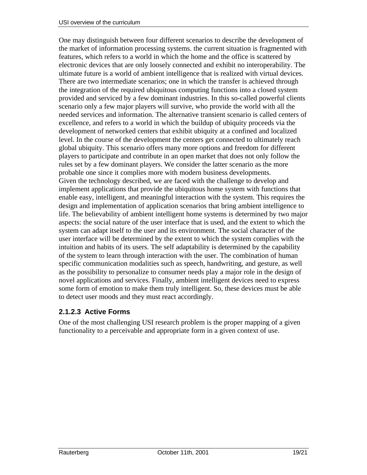One may distinguish between four different scenarios to describe the development of the market of information processing systems. the current situation is fragmented with features, which refers to a world in which the home and the office is scattered by electronic devices that are only loosely connected and exhibit no interoperability. The ultimate future is a world of ambient intelligence that is realized with virtual devices. There are two intermediate scenarios; one in which the transfer is achieved through the integration of the required ubiquitous computing functions into a closed system provided and serviced by a few dominant industries. In this so-called powerful clients scenario only a few major players will survive, who provide the world with all the needed services and information. The alternative transient scenario is called centers of excellence, and refers to a world in which the buildup of ubiquity proceeds via the development of networked centers that exhibit ubiquity at a confined and localized level. In the course of the development the centers get connected to ultimately reach global ubiquity. This scenario offers many more options and freedom for different players to participate and contribute in an open market that does not only follow the rules set by a few dominant players. We consider the latter scenario as the more probable one since it complies more with modern business developments. Given the technology described, we are faced with the challenge to develop and implement applications that provide the ubiquitous home system with functions that enable easy, intelligent, and meaningful interaction with the system. This requires the design and implementation of application scenarios that bring ambient intelligence to life. The believability of ambient intelligent home systems is determined by two major aspects: the social nature of the user interface that is used, and the extent to which the system can adapt itself to the user and its environment. The social character of the user interface will be determined by the extent to which the system complies with the intuition and habits of its users. The self adaptability is determined by the capability of the system to learn through interaction with the user. The combination of human specific communication modalities such as speech, handwriting, and gesture, as well as the possibility to personalize to consumer needs play a major role in the design of novel applications and services. Finally, ambient intelligent devices need to express some form of emotion to make them truly intelligent. So, these devices must be able to detect user moods and they must react accordingly.

## **2.1.2.3 Active Forms**

One of the most challenging USI research problem is the proper mapping of a given functionality to a perceivable and appropriate form in a given context of use.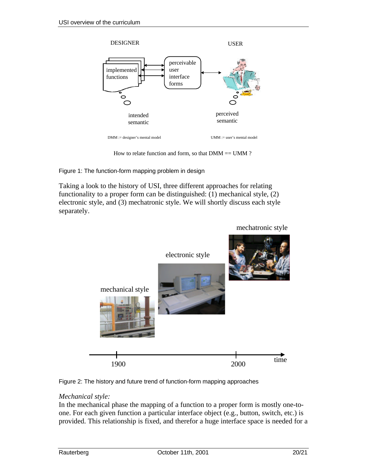

How to relate function and form, so that  $DMM = UMM$ ?

Figure 1: The function-form mapping problem in design

Taking a look to the history of USI, three different approaches for relating functionality to a proper form can be distinguished: (1) mechanical style, (2) electronic style, and (3) mechatronic style. We will shortly discuss each style separately.



Figure 2: The history and future trend of function-form mapping approaches

#### *Mechanical style:*

In the mechanical phase the mapping of a function to a proper form is mostly one-toone. For each given function a particular interface object (e.g., button, switch, etc.) is provided. This relationship is fixed, and therefor a huge interface space is needed for a